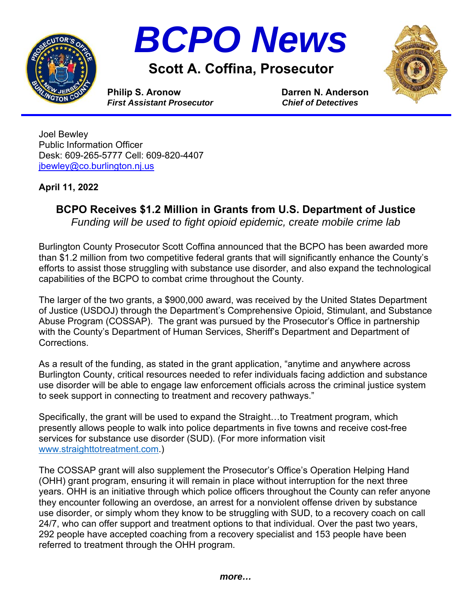



## **Scott A. Coffina, Prosecutor**



**Philip S. Aronow Darren N. Anderson** *First Assistant Prosecutor**Chief of Detectives*

Joel Bewley Public Information Officer Desk: 609-265-5777 Cell: 609-820-4407 jbewley@co.burlington.nj.us

## **April 11, 2022**

## **BCPO Receives \$1.2 Million in Grants from U.S. Department of Justice**

*Funding will be used to fight opioid epidemic, create mobile crime lab* 

Burlington County Prosecutor Scott Coffina announced that the BCPO has been awarded more than \$1.2 million from two competitive federal grants that will significantly enhance the County's efforts to assist those struggling with substance use disorder, and also expand the technological capabilities of the BCPO to combat crime throughout the County.

The larger of the two grants, a \$900,000 award, was received by the United States Department of Justice (USDOJ) through the Department's Comprehensive Opioid, Stimulant, and Substance Abuse Program (COSSAP). The grant was pursued by the Prosecutor's Office in partnership with the County's Department of Human Services, Sheriff's Department and Department of Corrections.

As a result of the funding, as stated in the grant application, "anytime and anywhere across Burlington County, critical resources needed to refer individuals facing addiction and substance use disorder will be able to engage law enforcement officials across the criminal justice system to seek support in connecting to treatment and recovery pathways."

Specifically, the grant will be used to expand the Straight…to Treatment program, which presently allows people to walk into police departments in five towns and receive cost-free services for substance use disorder (SUD). (For more information visit www.straighttotreatment.com.)

The COSSAP grant will also supplement the Prosecutor's Office's Operation Helping Hand (OHH) grant program, ensuring it will remain in place without interruption for the next three years. OHH is an initiative through which police officers throughout the County can refer anyone they encounter following an overdose, an arrest for a nonviolent offense driven by substance use disorder, or simply whom they know to be struggling with SUD, to a recovery coach on call 24/7, who can offer support and treatment options to that individual. Over the past two years, 292 people have accepted coaching from a recovery specialist and 153 people have been referred to treatment through the OHH program.